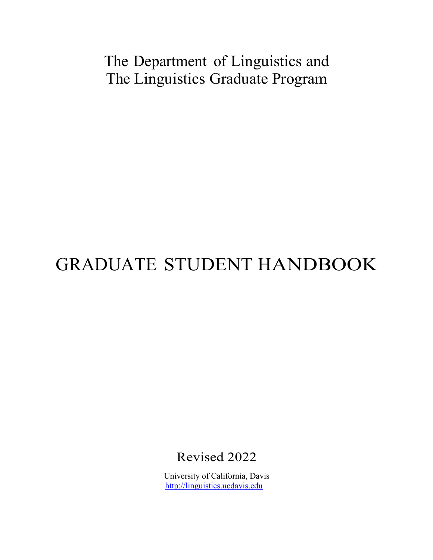## The Department of Linguistics and The Linguistics Graduate Program

# GRADUATE STUDENT HANDBOOK

Revised 2022

University of California, Davis http://linguistics.ucdavis.edu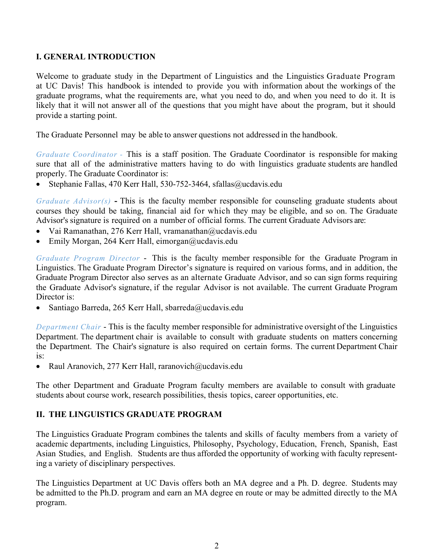## **I. GENERAL INTRODUCTION**

Welcome to graduate study in the Department of Linguistics and the Linguistics Graduate Program at UC Davis! This handbook is intended to provide you with information about the workings of the graduate programs, what the requirements are, what you need to do, and when you need to do it. It is likely that it will not answer all of the questions that you might have about the program, but it should provide a starting point.

The Graduate Personnel may be able to answer questions not addressed in the handbook.

*Graduate Coordinator -* This is a staff position. The Graduate Coordinator is responsible for making sure that all of the administrative matters having to do with linguistics graduate students are handled properly. The Graduate Coordinator is:

• Stephanie Fallas, 470 Kerr Hall, 530-752-3464, sfallas@ucdavis.edu

*Graduate Advisor(s)* **-** This is the faculty member responsible for counseling graduate students about courses they should be taking, financial aid for which they may be eligible, and so on. The Graduate Advisor's signature is required on a number of official forms. The current Graduate Advisors are:

- Vai Ramanathan, 276 Kerr Hall, vramanathan@ucdavis.edu
- Emily Morgan, 264 Kerr Hall, eimorgan@ucdavis.edu

*Graduate Program Director* - This is the faculty member responsible for the Graduate Program in Linguistics. The Graduate Program Director's signature is required on various forms, and in addition, the Graduate Program Director also serves as an alternate Graduate Advisor, and so can sign forms requiring the Graduate Advisor's signature, if the regular Advisor is not available. The current Graduate Program Director is:

• Santiago Barreda, 265 Kerr Hall, sbarreda@ucdavis.edu

*Department Chair* - This is the faculty member responsible for administrative oversight of the Linguistics Department. The department chair is available to consult with graduate students on matters concerning the Department. The Chair's signature is also required on certain forms. The current Department Chair is:

• Raul Aranovich, 277 Kerr Hall, raranovich@ucdavis.edu

The other Department and Graduate Program faculty members are available to consult with graduate students about course work, research possibilities, thesis topics, career opportunities, etc.

## **II. THE LINGUISTICS GRADUATE PROGRAM**

The Linguistics Graduate Program combines the talents and skills of faculty members from a variety of academic departments, including Linguistics, Philosophy, Psychology, Education, French, Spanish, East Asian Studies, and English. Students are thus afforded the opportunity of working with faculty representing a variety of disciplinary perspectives.

The Linguistics Department at UC Davis offers both an MA degree and a Ph. D. degree. Students may be admitted to the Ph.D. program and earn an MA degree en route or may be admitted directly to the MA program.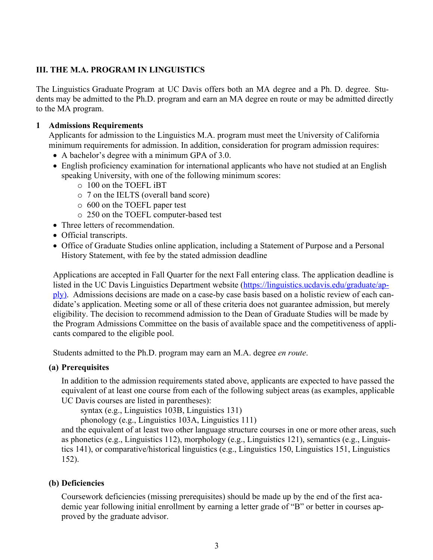## **III. THE M.A. PROGRAM IN LINGUISTICS**

The Linguistics Graduate Program at UC Davis offers both an MA degree and a Ph. D. degree. Students may be admitted to the Ph.D. program and earn an MA degree en route or may be admitted directly to the MA program.

## **1 Admissions Requirements**

Applicants for admission to the Linguistics M.A. program must meet the University of California minimum requirements for admission. In addition, consideration for program admission requires:

- A bachelor's degree with a minimum GPA of 3.0.
- English proficiency examination for international applicants who have not studied at an English speaking University, with one of the following minimum scores:
	- o 100 on the TOEFL iBT
	- o 7 on the IELTS (overall band score)
	- o 600 on the TOEFL paper test
	- o 250 on the TOEFL computer-based test
- Three letters of recommendation.
- Official transcripts.
- Office of Graduate Studies online application, including a Statement of Purpose and a Personal History Statement, with fee by the stated admission deadline

Applications are accepted in Fall Quarter for the next Fall entering class. The application deadline is listed in the UC Davis Linguistics Department website (https://linguistics.ucdavis.edu/graduate/apply). Admissions decisions are made on a case-by case basis based on a holistic review of each candidate's application. Meeting some or all of these criteria does not guarantee admission, but merely eligibility. The decision to recommend admission to the Dean of Graduate Studies will be made by the Program Admissions Committee on the basis of available space and the competitiveness of applicants compared to the eligible pool.

Students admitted to the Ph.D. program may earn an M.A. degree *en route*.

#### **(a) Prerequisites**

In addition to the admission requirements stated above, applicants are expected to have passed the equivalent of at least one course from each of the following subject areas (as examples, applicable UC Davis courses are listed in parentheses):

syntax (e.g., Linguistics 103B, Linguistics 131)

phonology (e.g., Linguistics 103A, Linguistics 111)

and the equivalent of at least two other language structure courses in one or more other areas, such as phonetics (e.g., Linguistics 112), morphology (e.g., Linguistics 121), semantics (e.g., Linguistics 141), or comparative/historical linguistics (e.g., Linguistics 150, Linguistics 151, Linguistics 152).

## **(b) Deficiencies**

Coursework deficiencies (missing prerequisites) should be made up by the end of the first academic year following initial enrollment by earning a letter grade of "B" or better in courses approved by the graduate advisor.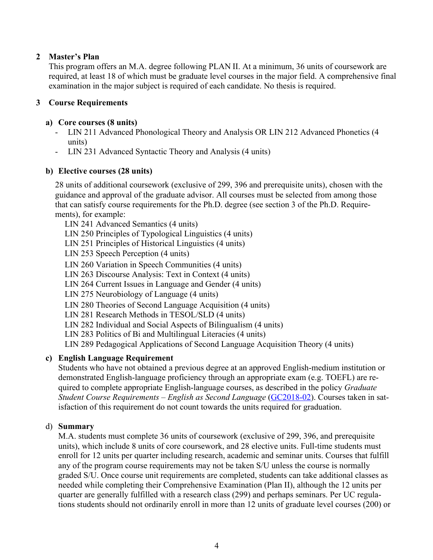## **2 Master's Plan**

This program offers an M.A. degree following PLAN II. At a minimum, 36 units of coursework are required, at least 18 of which must be graduate level courses in the major field. A comprehensive final examination in the major subject is required of each candidate. No thesis is required.

## **3 Course Requirements**

## **a) Core courses (8 units)**

- LIN 211 Advanced Phonological Theory and Analysis OR LIN 212 Advanced Phonetics (4 units)
- LIN 231 Advanced Syntactic Theory and Analysis (4 units)

## **b) Elective courses (28 units)**

28 units of additional coursework (exclusive of 299, 396 and prerequisite units), chosen with the guidance and approval of the graduate advisor. All courses must be selected from among those that can satisfy course requirements for the Ph.D. degree (see section 3 of the Ph.D. Requirements), for example:

LIN 241 Advanced Semantics (4 units)

LIN 250 Principles of Typological Linguistics (4 units)

LIN 251 Principles of Historical Linguistics (4 units)

LIN 253 Speech Perception (4 units)

LIN 260 Variation in Speech Communities (4 units)

LIN 263 Discourse Analysis: Text in Context (4 units)

LIN 264 Current Issues in Language and Gender (4 units)

LIN 275 Neurobiology of Language (4 units)

LIN 280 Theories of Second Language Acquisition (4 units)

LIN 281 Research Methods in TESOL/SLD (4 units)

LIN 282 Individual and Social Aspects of Bilingualism (4 units)

LIN 283 Politics of Bi and Multilingual Literacies (4 units)

LIN 289 Pedagogical Applications of Second Language Acquisition Theory (4 units)

## **c) English Language Requirement**

Students who have not obtained a previous degree at an approved English-medium institution or demonstrated English-language proficiency through an appropriate exam (e.g. TOEFL) are required to complete appropriate English-language courses, as described in the policy *Graduate Student Course Requirements – English as Second Language* (GC2018-02). Courses taken in satisfaction of this requirement do not count towards the units required for graduation.

## d) **Summary**

M.A. students must complete 36 units of coursework (exclusive of 299, 396, and prerequisite units), which include 8 units of core coursework, and 28 elective units. Full-time students must enroll for 12 units per quarter including research, academic and seminar units. Courses that fulfill any of the program course requirements may not be taken S/U unless the course is normally graded S/U. Once course unit requirements are completed, students can take additional classes as needed while completing their Comprehensive Examination (Plan II), although the 12 units per quarter are generally fulfilled with a research class (299) and perhaps seminars. Per UC regulations students should not ordinarily enroll in more than 12 units of graduate level courses (200) or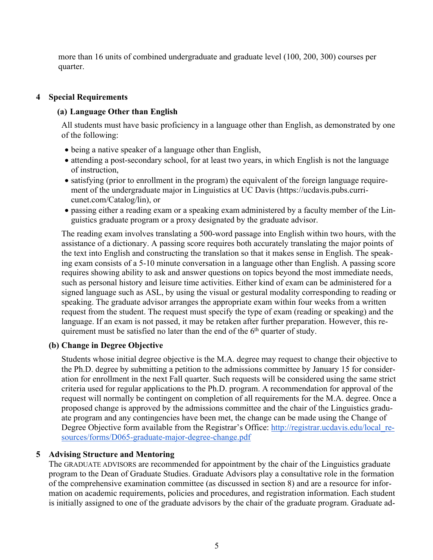more than 16 units of combined undergraduate and graduate level (100, 200, 300) courses per quarter.

## **4 Special Requirements**

## **(a) Language Other than English**

All students must have basic proficiency in a language other than English, as demonstrated by one of the following:

- being a native speaker of a language other than English,
- attending a post-secondary school, for at least two years, in which English is not the language of instruction,
- satisfying (prior to enrollment in the program) the equivalent of the foreign language requirement of the undergraduate major in Linguistics at UC Davis (https://ucdavis.pubs.curricunet.com/Catalog/lin), or
- passing either a reading exam or a speaking exam administered by a faculty member of the Linguistics graduate program or a proxy designated by the graduate advisor.

The reading exam involves translating a 500-word passage into English within two hours, with the assistance of a dictionary. A passing score requires both accurately translating the major points of the text into English and constructing the translation so that it makes sense in English. The speaking exam consists of a 5-10 minute conversation in a language other than English. A passing score requires showing ability to ask and answer questions on topics beyond the most immediate needs, such as personal history and leisure time activities. Either kind of exam can be administered for a signed language such as ASL, by using the visual or gestural modality corresponding to reading or speaking. The graduate advisor arranges the appropriate exam within four weeks from a written request from the student. The request must specify the type of exam (reading or speaking) and the language. If an exam is not passed, it may be retaken after further preparation. However, this requirement must be satisfied no later than the end of the  $6<sup>th</sup>$  quarter of study.

#### **(b) Change in Degree Objective**

Students whose initial degree objective is the M.A. degree may request to change their objective to the Ph.D. degree by submitting a petition to the admissions committee by January 15 for consideration for enrollment in the next Fall quarter. Such requests will be considered using the same strict criteria used for regular applications to the Ph.D. program. A recommendation for approval of the request will normally be contingent on completion of all requirements for the M.A. degree. Once a proposed change is approved by the admissions committee and the chair of the Linguistics graduate program and any contingencies have been met, the change can be made using the Change of Degree Objective form available from the Registrar's Office: http://registrar.ucdavis.edu/local\_resources/forms/D065-graduate-major-degree-change.pdf

## **5 Advising Structure and Mentoring**

The GRADUATE ADVISORS are recommended for appointment by the chair of the Linguistics graduate program to the Dean of Graduate Studies. Graduate Advisors play a consultative role in the formation of the comprehensive examination committee (as discussed in section 8) and are a resource for information on academic requirements, policies and procedures, and registration information. Each student is initially assigned to one of the graduate advisors by the chair of the graduate program. Graduate ad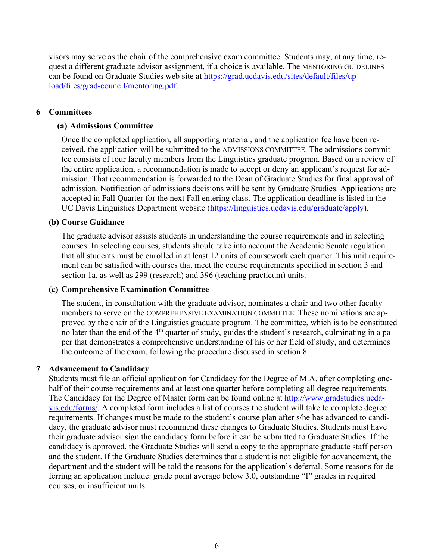visors may serve as the chair of the comprehensive exam committee. Students may, at any time, request a different graduate advisor assignment, if a choice is available. The MENTORING GUIDELINES can be found on Graduate Studies web site at https://grad.ucdavis.edu/sites/default/files/upload/files/grad-council/mentoring.pdf.

#### **6 Committees**

#### **(a) Admissions Committee**

Once the completed application, all supporting material, and the application fee have been received, the application will be submitted to the ADMISSIONS COMMITTEE. The admissions committee consists of four faculty members from the Linguistics graduate program. Based on a review of the entire application, a recommendation is made to accept or deny an applicant's request for admission. That recommendation is forwarded to the Dean of Graduate Studies for final approval of admission. Notification of admissions decisions will be sent by Graduate Studies. Applications are accepted in Fall Quarter for the next Fall entering class. The application deadline is listed in the UC Davis Linguistics Department website (https://linguistics.ucdavis.edu/graduate/apply).

#### **(b) Course Guidance**

The graduate advisor assists students in understanding the course requirements and in selecting courses. In selecting courses, students should take into account the Academic Senate regulation that all students must be enrolled in at least 12 units of coursework each quarter. This unit requirement can be satisfied with courses that meet the course requirements specified in section 3 and section 1a, as well as 299 (research) and 396 (teaching practicum) units.

#### **(c) Comprehensive Examination Committee**

The student, in consultation with the graduate advisor, nominates a chair and two other faculty members to serve on the COMPREHENSIVE EXAMINATION COMMITTEE. These nominations are approved by the chair of the Linguistics graduate program. The committee, which is to be constituted no later than the end of the  $4<sup>th</sup>$  quarter of study, guides the student's research, culminating in a paper that demonstrates a comprehensive understanding of his or her field of study, and determines the outcome of the exam, following the procedure discussed in section 8.

#### **7 Advancement to Candidacy**

Students must file an official application for Candidacy for the Degree of M.A. after completing onehalf of their course requirements and at least one quarter before completing all degree requirements. The Candidacy for the Degree of Master form can be found online at http://www.gradstudies.ucdavis.edu/forms/. A completed form includes a list of courses the student will take to complete degree requirements. If changes must be made to the student's course plan after s/he has advanced to candidacy, the graduate advisor must recommend these changes to Graduate Studies. Students must have their graduate advisor sign the candidacy form before it can be submitted to Graduate Studies. If the candidacy is approved, the Graduate Studies will send a copy to the appropriate graduate staff person and the student. If the Graduate Studies determines that a student is not eligible for advancement, the department and the student will be told the reasons for the application's deferral. Some reasons for deferring an application include: grade point average below 3.0, outstanding "I" grades in required courses, or insufficient units.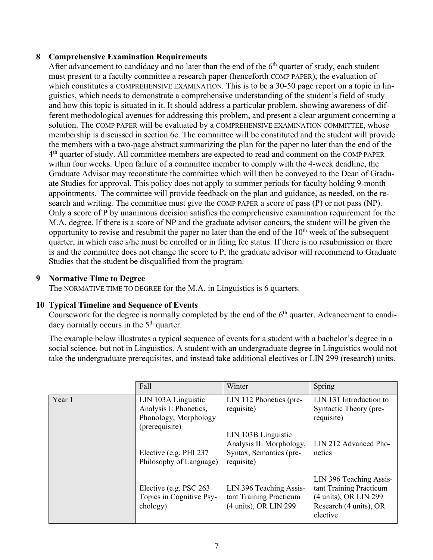## **8 Comprehensive Examination Requirements**

After advancement to candidacy and no later than the end of the  $6<sup>th</sup>$  quarter of study, each student must present to a faculty committee a research paper (henceforth COMP PAPER), the evaluation of which constitutes a COMPREHENSIVE EXAMINATION. This is to be a 30-50 page report on a topic in linguistics, which needs to demonstrate a comprehensive understanding of the student's field of study and how this topic is situated in it. It should address a particular problem, showing awareness of different methodological avenues for addressing this problem, and present a clear argument concerning a solution. The COMP PAPER will be evaluated by a COMPREHENSIVE EXAMINATION COMMITTEE, whose membership is discussed in section 6c. The committee will be constituted and the student will provide the members with a two-page abstract summarizing the plan for the paper no later than the end of the 4th quarter of study. All committee members are expected to read and comment on the COMP PAPER within four weeks. Upon failure of a committee member to comply with the 4-week deadline, the Graduate Advisor may reconstitute the committee which will then be conveyed to the Dean of Graduate Studies for approval. This policy does not apply to summer periods for faculty holding 9-month appointments. The committee will provide feedback on the plan and guidance, as needed, on the research and writing*.* The committee must give the COMP PAPER a score of pass (P) or not pass (NP). Only a score of P by unanimous decision satisfies the comprehensive examination requirement for the M.A. degree. If there is a score of NP and the graduate advisor concurs, the student will be given the opportunity to revise and resubmit the paper no later than the end of the  $10<sup>th</sup>$  week of the subsequent quarter, in which case s/he must be enrolled or in filing fee status. If there is no resubmission or there is and the committee does not change the score to P, the graduate advisor will recommend to Graduate Studies that the student be disqualified from the program.

## **9 Normative Time to Degree**

The NORMATIVE TIME TO DEGREE for the M.A. in Linguistics is 6 quarters.

## **10 Typical Timeline and Sequence of Events**

Coursework for the degree is normally completed by the end of the  $6<sup>th</sup>$  quarter. Advancement to candidacy normally occurs in the  $5<sup>th</sup>$  quarter.

The example below illustrates a typical sequence of events for a student with a bachelor's degree in a social science, but not in Linguistics. A student with an undergraduate degree in Linguistics would not take the undergraduate prerequisites, and instead take additional electives or LIN 299 (research) units.

|        | Fall                                                                                     | Winter                                                                                   | Spring                                                                                                            |
|--------|------------------------------------------------------------------------------------------|------------------------------------------------------------------------------------------|-------------------------------------------------------------------------------------------------------------------|
| Year 1 | LIN 103A Linguistic<br>Analysis I: Phonetics,<br>Phonology, Morphology<br>(prerequisite) | LIN 112 Phonetics (pre-<br>requisite)                                                    | LIN 131 Introduction to<br>Syntactic Theory (pre-<br>requisite)                                                   |
|        | Elective (e.g. PHI 237<br>Philosophy of Language)                                        | LIN 103B Linguistic<br>Analysis II: Morphology,<br>Syntax, Semantics (pre-<br>requisite) | LIN 212 Advanced Pho-<br>netics                                                                                   |
|        | Elective (e.g. PSC 263)<br>Topics in Cognitive Psy-<br>chology)                          | LIN 396 Teaching Assis-<br>tant Training Practicum<br>(4 units), OR LIN 299              | LIN 396 Teaching Assis-<br>tant Training Practicum<br>(4 units), OR LIN 299<br>Research (4 units), OR<br>elective |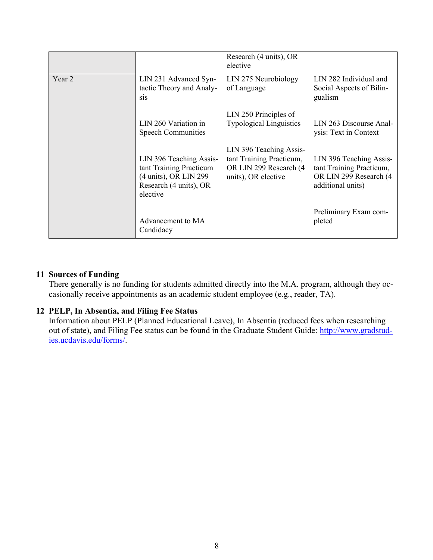|        |                                                                                                                   | Research (4 units), OR<br>elective                                                                   |                                                                                                    |
|--------|-------------------------------------------------------------------------------------------------------------------|------------------------------------------------------------------------------------------------------|----------------------------------------------------------------------------------------------------|
| Year 2 | LIN 231 Advanced Syn-<br>tactic Theory and Analy-<br><sub>Sis</sub>                                               | LIN 275 Neurobiology<br>of Language                                                                  | LIN 282 Individual and<br>Social Aspects of Bilin-<br>gualism                                      |
|        | LIN 260 Variation in<br><b>Speech Communities</b>                                                                 | LIN 250 Principles of<br><b>Typological Linguistics</b>                                              | LIN 263 Discourse Anal-<br>ysis: Text in Context                                                   |
|        | LIN 396 Teaching Assis-<br>tant Training Practicum<br>(4 units), OR LIN 299<br>Research (4 units), OR<br>elective | LIN 396 Teaching Assis-<br>tant Training Practicum,<br>OR LIN 299 Research (4<br>units), OR elective | LIN 396 Teaching Assis-<br>tant Training Practicum,<br>OR LIN 299 Research (4<br>additional units) |
|        | Advancement to MA<br>Candidacy                                                                                    |                                                                                                      | Preliminary Exam com-<br>pleted                                                                    |

## **11 Sources of Funding**

There generally is no funding for students admitted directly into the M.A. program, although they occasionally receive appointments as an academic student employee (e.g., reader, TA).

## **12 PELP, In Absentia, and Filing Fee Status**

Information about PELP (Planned Educational Leave), In Absentia (reduced fees when researching out of state), and Filing Fee status can be found in the Graduate Student Guide: http://www.gradstudies.ucdavis.edu/forms/.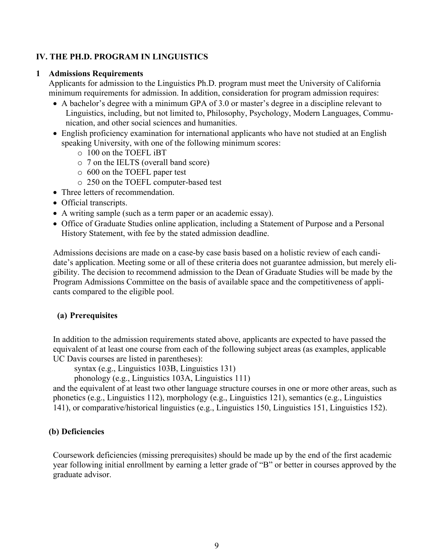## **IV. THE PH.D. PROGRAM IN LINGUISTICS**

#### **1 Admissions Requirements**

Applicants for admission to the Linguistics Ph.D. program must meet the University of California minimum requirements for admission. In addition, consideration for program admission requires:

- A bachelor's degree with a minimum GPA of 3.0 or master's degree in a discipline relevant to Linguistics, including, but not limited to, Philosophy, Psychology, Modern Languages, Communication, and other social sciences and humanities.
- English proficiency examination for international applicants who have not studied at an English speaking University, with one of the following minimum scores:
	- o 100 on the TOEFL iBT
	- o 7 on the IELTS (overall band score)
	- o 600 on the TOEFL paper test
	- o 250 on the TOEFL computer-based test
- Three letters of recommendation.
- Official transcripts.
- A writing sample (such as a term paper or an academic essay).
- Office of Graduate Studies online application, including a Statement of Purpose and a Personal History Statement, with fee by the stated admission deadline.

Admissions decisions are made on a case-by case basis based on a holistic review of each candidate's application. Meeting some or all of these criteria does not guarantee admission, but merely eligibility. The decision to recommend admission to the Dean of Graduate Studies will be made by the Program Admissions Committee on the basis of available space and the competitiveness of applicants compared to the eligible pool.

#### **(a) Prerequisites**

In addition to the admission requirements stated above, applicants are expected to have passed the equivalent of at least one course from each of the following subject areas (as examples, applicable UC Davis courses are listed in parentheses):

syntax (e.g., Linguistics 103B, Linguistics 131)

phonology (e.g., Linguistics 103A, Linguistics 111)

and the equivalent of at least two other language structure courses in one or more other areas, such as phonetics (e.g., Linguistics 112), morphology (e.g., Linguistics 121), semantics (e.g., Linguistics 141), or comparative/historical linguistics (e.g., Linguistics 150, Linguistics 151, Linguistics 152).

#### **(b) Deficiencies**

Coursework deficiencies (missing prerequisites) should be made up by the end of the first academic year following initial enrollment by earning a letter grade of "B" or better in courses approved by the graduate advisor.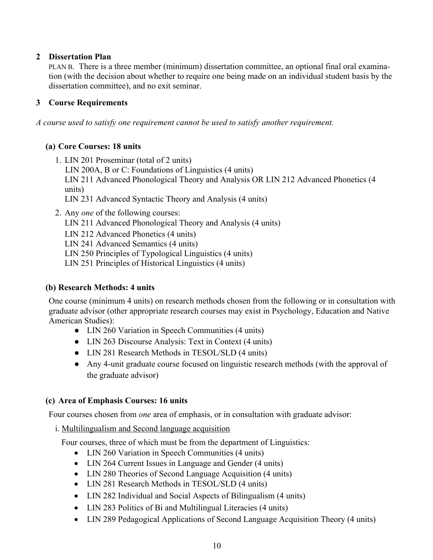## **2 Dissertation Plan**

PLAN B. There is a three member (minimum) dissertation committee, an optional final oral examination (with the decision about whether to require one being made on an individual student basis by the dissertation committee), and no exit seminar.

## **3 Course Requirements**

*A course used to satisfy one requirement cannot be used to satisfy another requirement.*

## **(a) Core Courses: 18 units**

- 1. LIN 201 Proseminar (total of 2 units) LIN 200A, B or C: Foundations of Linguistics (4 units) LIN 211 Advanced Phonological Theory and Analysis OR LIN 212 Advanced Phonetics (4 units) LIN 231 Advanced Syntactic Theory and Analysis (4 units)
- 2. Any *one* of the following courses:
	- LIN 211 Advanced Phonological Theory and Analysis (4 units)
	- LIN 212 Advanced Phonetics (4 units)
	- LIN 241 Advanced Semantics (4 units)
	- LIN 250 Principles of Typological Linguistics (4 units)
	- LIN 251 Principles of Historical Linguistics (4 units)

#### **(b) Research Methods: 4 units**

One course (minimum 4 units) on research methods chosen from the following or in consultation with graduate advisor (other appropriate research courses may exist in Psychology, Education and Native American Studies):

- LIN 260 Variation in Speech Communities (4 units)
- LIN 263 Discourse Analysis: Text in Context (4 units)
- LIN 281 Research Methods in TESOL/SLD (4 units)
- Any 4-unit graduate course focused on linguistic research methods (with the approval of the graduate advisor)

#### **(c) Area of Emphasis Courses: 16 units**

Four courses chosen from *one* area of emphasis, or in consultation with graduate advisor:

i. Multilingualism and Second language acquisition

Four courses, three of which must be from the department of Linguistics:

- LIN 260 Variation in Speech Communities (4 units)
- LIN 264 Current Issues in Language and Gender (4 units)
- LIN 280 Theories of Second Language Acquisition (4 units)
- LIN 281 Research Methods in TESOL/SLD (4 units)
- LIN 282 Individual and Social Aspects of Bilingualism (4 units)
- LIN 283 Politics of Bi and Multilingual Literacies (4 units)
- LIN 289 Pedagogical Applications of Second Language Acquisition Theory (4 units)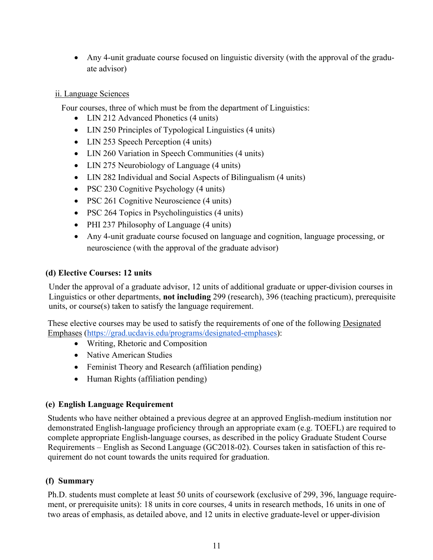• Any 4-unit graduate course focused on linguistic diversity (with the approval of the graduate advisor)

## ii. Language Sciences

Four courses, three of which must be from the department of Linguistics:

- LIN 212 Advanced Phonetics (4 units)
- LIN 250 Principles of Typological Linguistics (4 units)
- LIN 253 Speech Perception (4 units)
- LIN 260 Variation in Speech Communities (4 units)
- LIN 275 Neurobiology of Language (4 units)
- LIN 282 Individual and Social Aspects of Bilingualism (4 units)
- PSC 230 Cognitive Psychology (4 units)
- PSC 261 Cognitive Neuroscience (4 units)
- PSC 264 Topics in Psycholinguistics (4 units)
- PHI 237 Philosophy of Language (4 units)
- Any 4-unit graduate course focused on language and cognition, language processing, or neuroscience (with the approval of the graduate advisor)

## **(d) Elective Courses: 12 units**

Under the approval of a graduate advisor, 12 units of additional graduate or upper-division courses in Linguistics or other departments, **not including** 299 (research), 396 (teaching practicum), prerequisite units, or course(s) taken to satisfy the language requirement.

These elective courses may be used to satisfy the requirements of one of the following Designated Emphases (https://grad.ucdavis.edu/programs/designated-emphases):

- Writing, Rhetoric and Composition
- Native American Studies
- Feminist Theory and Research (affiliation pending)
- Human Rights (affiliation pending)

## **(e) English Language Requirement**

Students who have neither obtained a previous degree at an approved English-medium institution nor demonstrated English-language proficiency through an appropriate exam (e.g. TOEFL) are required to complete appropriate English-language courses, as described in the policy Graduate Student Course Requirements – English as Second Language (GC2018-02). Courses taken in satisfaction of this requirement do not count towards the units required for graduation.

## **(f) Summary**

Ph.D. students must complete at least 50 units of coursework (exclusive of 299, 396, language requirement, or prerequisite units): 18 units in core courses, 4 units in research methods, 16 units in one of two areas of emphasis, as detailed above, and 12 units in elective graduate-level or upper-division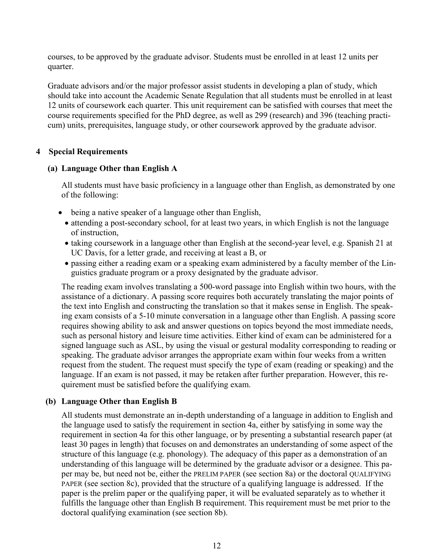courses, to be approved by the graduate advisor. Students must be enrolled in at least 12 units per quarter.

Graduate advisors and/or the major professor assist students in developing a plan of study, which should take into account the Academic Senate Regulation that all students must be enrolled in at least 12 units of coursework each quarter. This unit requirement can be satisfied with courses that meet the course requirements specified for the PhD degree, as well as 299 (research) and 396 (teaching practicum) units, prerequisites, language study, or other coursework approved by the graduate advisor.

#### **4 Special Requirements**

#### **(a) Language Other than English A**

All students must have basic proficiency in a language other than English, as demonstrated by one of the following:

- being a native speaker of a language other than English,
	- attending a post-secondary school, for at least two years, in which English is not the language of instruction,
	- taking coursework in a language other than English at the second-year level, e.g. Spanish 21 at UC Davis, for a letter grade, and receiving at least a B, or
	- passing either a reading exam or a speaking exam administered by a faculty member of the Linguistics graduate program or a proxy designated by the graduate advisor.

The reading exam involves translating a 500-word passage into English within two hours, with the assistance of a dictionary. A passing score requires both accurately translating the major points of the text into English and constructing the translation so that it makes sense in English. The speaking exam consists of a 5-10 minute conversation in a language other than English. A passing score requires showing ability to ask and answer questions on topics beyond the most immediate needs, such as personal history and leisure time activities. Either kind of exam can be administered for a signed language such as ASL, by using the visual or gestural modality corresponding to reading or speaking. The graduate advisor arranges the appropriate exam within four weeks from a written request from the student. The request must specify the type of exam (reading or speaking) and the language. If an exam is not passed, it may be retaken after further preparation. However, this requirement must be satisfied before the qualifying exam.

#### **(b) Language Other than English B**

All students must demonstrate an in-depth understanding of a language in addition to English and the language used to satisfy the requirement in section 4a, either by satisfying in some way the requirement in section 4a for this other language, or by presenting a substantial research paper (at least 30 pages in length) that focuses on and demonstrates an understanding of some aspect of the structure of this language (e.g. phonology). The adequacy of this paper as a demonstration of an understanding of this language will be determined by the graduate advisor or a designee. This paper may be, but need not be, either the PRELIM PAPER (see section 8a) or the doctoral QUALIFYING PAPER (see section 8c), provided that the structure of a qualifying language is addressed. If the paper is the prelim paper or the qualifying paper, it will be evaluated separately as to whether it fulfills the language other than English B requirement. This requirement must be met prior to the doctoral qualifying examination (see section 8b).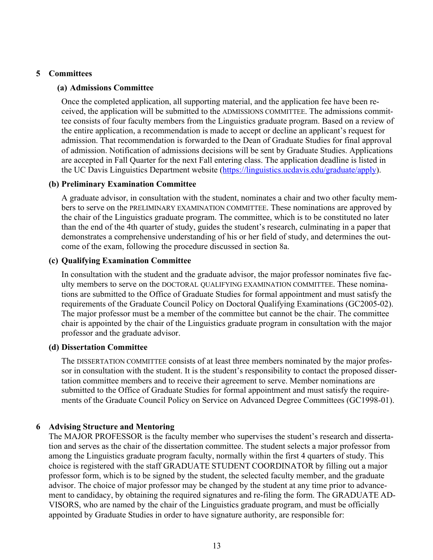#### **5 Committees**

#### **(a) Admissions Committee**

Once the completed application, all supporting material, and the application fee have been received, the application will be submitted to the ADMISSIONS COMMITTEE. The admissions committee consists of four faculty members from the Linguistics graduate program. Based on a review of the entire application, a recommendation is made to accept or decline an applicant's request for admission. That recommendation is forwarded to the Dean of Graduate Studies for final approval of admission. Notification of admissions decisions will be sent by Graduate Studies. Applications are accepted in Fall Quarter for the next Fall entering class. The application deadline is listed in the UC Davis Linguistics Department website (https://linguistics.ucdavis.edu/graduate/apply).

#### **(b) Preliminary Examination Committee**

A graduate advisor, in consultation with the student, nominates a chair and two other faculty members to serve on the PRELIMINARY EXAMINATION COMMITTEE. These nominations are approved by the chair of the Linguistics graduate program. The committee, which is to be constituted no later than the end of the 4th quarter of study, guides the student's research, culminating in a paper that demonstrates a comprehensive understanding of his or her field of study, and determines the outcome of the exam, following the procedure discussed in section 8a.

#### **(c) Qualifying Examination Committee**

In consultation with the student and the graduate advisor, the major professor nominates five faculty members to serve on the DOCTORAL QUALIFYING EXAMINATION COMMITTEE. These nominations are submitted to the Office of Graduate Studies for formal appointment and must satisfy the requirements of the Graduate Council Policy on Doctoral Qualifying Examinations (GC2005-02). The major professor must be a member of the committee but cannot be the chair. The committee chair is appointed by the chair of the Linguistics graduate program in consultation with the major professor and the graduate advisor.

#### **(d) Dissertation Committee**

The DISSERTATION COMMITTEE consists of at least three members nominated by the major professor in consultation with the student. It is the student's responsibility to contact the proposed dissertation committee members and to receive their agreement to serve. Member nominations are submitted to the Office of Graduate Studies for formal appointment and must satisfy the requirements of the Graduate Council Policy on Service on Advanced Degree Committees (GC1998-01).

#### **6 Advising Structure and Mentoring**

The MAJOR PROFESSOR is the faculty member who supervises the student's research and dissertation and serves as the chair of the dissertation committee. The student selects a major professor from among the Linguistics graduate program faculty, normally within the first 4 quarters of study. This choice is registered with the staff GRADUATE STUDENT COORDINATOR by filling out a major professor form, which is to be signed by the student, the selected faculty member, and the graduate advisor. The choice of major professor may be changed by the student at any time prior to advancement to candidacy, by obtaining the required signatures and re-filing the form. The GRADUATE AD-VISORS, who are named by the chair of the Linguistics graduate program, and must be officially appointed by Graduate Studies in order to have signature authority, are responsible for: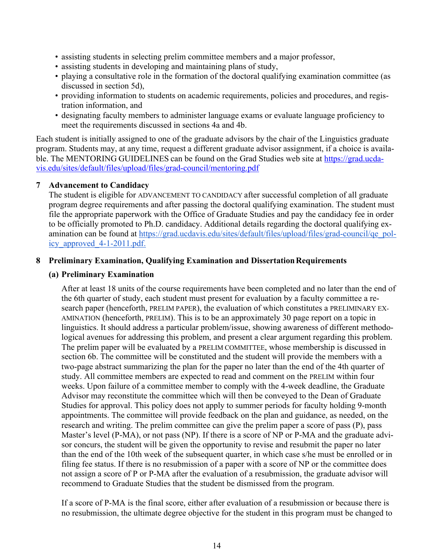- assisting students in selecting prelim committee members and a major professor,
- assisting students in developing and maintaining plans of study,
- playing a consultative role in the formation of the doctoral qualifying examination committee (as discussed in section 5d),
- providing information to students on academic requirements, policies and procedures, and registration information, and
- designating faculty members to administer language exams or evaluate language proficiency to meet the requirements discussed in sections 4a and 4b.

Each student is initially assigned to one of the graduate advisors by the chair of the Linguistics graduate program. Students may, at any time, request a different graduate advisor assignment, if a choice is available. The MENTORING GUIDELINES can be found on the Grad Studies web site at https://grad.ucdavis.edu/sites/default/files/upload/files/grad-council/mentoring.pdf

## **7 Advancement to Candidacy**

The student is eligible for ADVANCEMENT TO CANDIDACY after successful completion of all graduate program degree requirements and after passing the doctoral qualifying examination. The student must file the appropriate paperwork with the Office of Graduate Studies and pay the candidacy fee in order to be officially promoted to Ph.D. candidacy. Additional details regarding the doctoral qualifying examination can be found at https://grad.ucdavis.edu/sites/default/files/upload/files/grad-council/qe\_policy\_approved\_4-1-2011.pdf.

## **8 Preliminary Examination, Qualifying Examination and DissertationRequirements**

## **(a) Preliminary Examination**

After at least 18 units of the course requirements have been completed and no later than the end of the 6th quarter of study, each student must present for evaluation by a faculty committee a research paper (henceforth, PRELIM PAPER), the evaluation of which constitutes a PRELIMINARY EX-AMINATION (henceforth, PRELIM). This is to be an approximately 30 page report on a topic in linguistics. It should address a particular problem/issue, showing awareness of different methodological avenues for addressing this problem, and present a clear argument regarding this problem. The prelim paper will be evaluated by a PRELIM COMMITTEE, whose membership is discussed in section 6b. The committee will be constituted and the student will provide the members with a two-page abstract summarizing the plan for the paper no later than the end of the 4th quarter of study. All committee members are expected to read and comment on the PRELIM within four weeks. Upon failure of a committee member to comply with the 4-week deadline, the Graduate Advisor may reconstitute the committee which will then be conveyed to the Dean of Graduate Studies for approval. This policy does not apply to summer periods for faculty holding 9-month appointments. The committee will provide feedback on the plan and guidance, as needed, on the research and writing. The prelim committee can give the prelim paper a score of pass (P), pass Master's level (P-MA), or not pass (NP). If there is a score of NP or P-MA and the graduate advisor concurs, the student will be given the opportunity to revise and resubmit the paper no later than the end of the 10th week of the subsequent quarter, in which case s/he must be enrolled or in filing fee status. If there is no resubmission of a paper with a score of NP or the committee does not assign a score of P or P-MA after the evaluation of a resubmission, the graduate advisor will recommend to Graduate Studies that the student be dismissed from the program.

If a score of P-MA is the final score, either after evaluation of a resubmission or because there is no resubmission, the ultimate degree objective for the student in this program must be changed to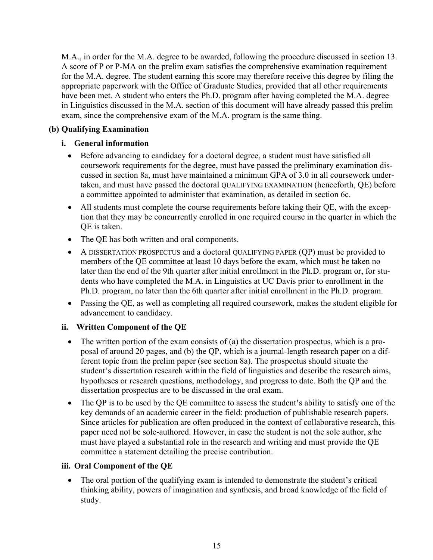M.A., in order for the M.A. degree to be awarded, following the procedure discussed in section 13. A score of P or P-MA on the prelim exam satisfies the comprehensive examination requirement for the M.A. degree. The student earning this score may therefore receive this degree by filing the appropriate paperwork with the Office of Graduate Studies, provided that all other requirements have been met. A student who enters the Ph.D. program after having completed the M.A. degree in Linguistics discussed in the M.A. section of this document will have already passed this prelim exam, since the comprehensive exam of the M.A. program is the same thing.

## **(b) Qualifying Examination**

## **i. General information**

- Before advancing to candidacy for a doctoral degree, a student must have satisfied all coursework requirements for the degree, must have passed the preliminary examination discussed in section 8a, must have maintained a minimum GPA of 3.0 in all coursework undertaken, and must have passed the doctoral QUALIFYING EXAMINATION (henceforth, QE) before a committee appointed to administer that examination, as detailed in section 6c.
- All students must complete the course requirements before taking their QE, with the exception that they may be concurrently enrolled in one required course in the quarter in which the QE is taken.
- The QE has both written and oral components.
- A DISSERTATION PROSPECTUS and a doctoral QUALIFYING PAPER (QP) must be provided to members of the QE committee at least 10 days before the exam, which must be taken no later than the end of the 9th quarter after initial enrollment in the Ph.D. program or, for students who have completed the M.A. in Linguistics at UC Davis prior to enrollment in the Ph.D. program, no later than the 6th quarter after initial enrollment in the Ph.D. program.
- Passing the QE, as well as completing all required coursework, makes the student eligible for advancement to candidacy.

## **ii. Written Component of the QE**

- The written portion of the exam consists of (a) the dissertation prospectus, which is a proposal of around 20 pages, and (b) the QP, which is a journal-length research paper on a different topic from the prelim paper (see section 8a). The prospectus should situate the student's dissertation research within the field of linguistics and describe the research aims, hypotheses or research questions, methodology, and progress to date. Both the QP and the dissertation prospectus are to be discussed in the oral exam.
- The QP is to be used by the QE committee to assess the student's ability to satisfy one of the key demands of an academic career in the field: production of publishable research papers. Since articles for publication are often produced in the context of collaborative research, this paper need not be sole-authored. However, in case the student is not the sole author, s/he must have played a substantial role in the research and writing and must provide the QE committee a statement detailing the precise contribution.

## **iii. Oral Component of the QE**

• The oral portion of the qualifying exam is intended to demonstrate the student's critical thinking ability, powers of imagination and synthesis, and broad knowledge of the field of study.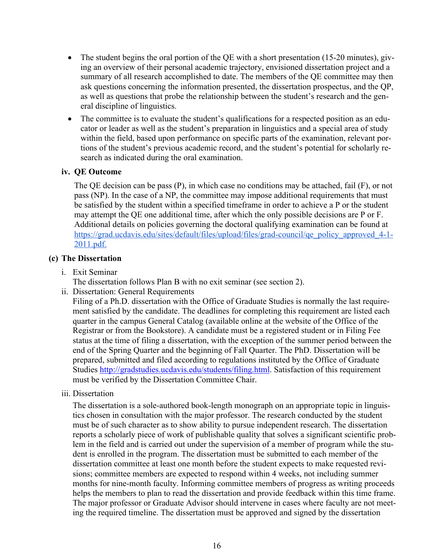- The student begins the oral portion of the QE with a short presentation (15-20 minutes), giving an overview of their personal academic trajectory, envisioned dissertation project and a summary of all research accomplished to date. The members of the QE committee may then ask questions concerning the information presented, the dissertation prospectus, and the QP, as well as questions that probe the relationship between the student's research and the general discipline of linguistics.
- The committee is to evaluate the student's qualifications for a respected position as an educator or leader as well as the student's preparation in linguistics and a special area of study within the field, based upon performance on specific parts of the examination, relevant portions of the student's previous academic record, and the student's potential for scholarly research as indicated during the oral examination.

#### **iv. QE Outcome**

The QE decision can be pass (P), in which case no conditions may be attached, fail (F), or not pass (NP). In the case of a NP, the committee may impose additional requirements that must be satisfied by the student within a specified timeframe in order to achieve a P or the student may attempt the QE one additional time, after which the only possible decisions are P or F. Additional details on policies governing the doctoral qualifying examination can be found at https://grad.ucdavis.edu/sites/default/files/upload/files/grad-council/qe\_policy\_approved\_4-1-2011.pdf.

#### **(c) The Dissertation**

i. Exit Seminar

The dissertation follows Plan B with no exit seminar (see section 2).

ii. Dissertation: General Requirements

Filing of a Ph.D. dissertation with the Office of Graduate Studies is normally the last requirement satisfied by the candidate. The deadlines for completing this requirement are listed each quarter in the campus General Catalog (available online at the website of the Office of the Registrar or from the Bookstore). A candidate must be a registered student or in Filing Fee status at the time of filing a dissertation, with the exception of the summer period between the end of the Spring Quarter and the beginning of Fall Quarter. The PhD. Dissertation will be prepared, submitted and filed according to regulations instituted by the Office of Graduate Studies http://gradstudies.ucdavis.edu/students/filing.html. Satisfaction of this requirement must be verified by the Dissertation Committee Chair.

iii. Dissertation

The dissertation is a sole-authored book-length monograph on an appropriate topic in linguistics chosen in consultation with the major professor. The research conducted by the student must be of such character as to show ability to pursue independent research. The dissertation reports a scholarly piece of work of publishable quality that solves a significant scientific problem in the field and is carried out under the supervision of a member of program while the student is enrolled in the program. The dissertation must be submitted to each member of the dissertation committee at least one month before the student expects to make requested revisions; committee members are expected to respond within 4 weeks, not including summer months for nine-month faculty. Informing committee members of progress as writing proceeds helps the members to plan to read the dissertation and provide feedback within this time frame. The major professor or Graduate Advisor should intervene in cases where faculty are not meeting the required timeline. The dissertation must be approved and signed by the dissertation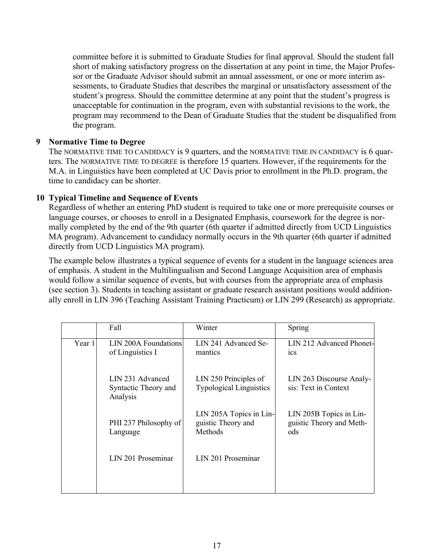committee before it is submitted to Graduate Studies for final approval. Should the student fall short of making satisfactory progress on the dissertation at any point in time, the Major Professor or the Graduate Advisor should submit an annual assessment, or one or more interim assessments, to Graduate Studies that describes the marginal or unsatisfactory assessment of the student's progress. Should the committee determine at any point that the student's progress is unacceptable for continuation in the program, even with substantial revisions to the work, the program may recommend to the Dean of Graduate Studies that the student be disqualified from the program.

## **9 Normative Time to Degree**

The NORMATIVE TIME TO CANDIDACY is 9 quarters, and the NORMATIVE TIME IN CANDIDACY is 6 quarters. The NORMATIVE TIME TO DEGREE is therefore 15 quarters. However, if the requirements for the M.A. in Linguistics have been completed at UC Davis prior to enrollment in the Ph.D. program, the time to candidacy can be shorter.

## **10 Typical Timeline and Sequence of Events**

Regardless of whether an entering PhD student is required to take one or more prerequisite courses or language courses, or chooses to enroll in a Designated Emphasis, coursework for the degree is normally completed by the end of the 9th quarter (6th quarter if admitted directly from UCD Linguistics MA program). Advancement to candidacy normally occurs in the 9th quarter (6th quarter if admitted directly from UCD Linguistics MA program).

The example below illustrates a typical sequence of events for a student in the language sciences area of emphasis. A student in the Multilingualism and Second Language Acquisition area of emphasis would follow a similar sequence of events, but with courses from the appropriate area of emphasis (see section 3). Students in teaching assistant or graduate research assistant positions would additionally enroll in LIN 396 (Teaching Assistant Training Practicum) or LIN 299 (Research) as appropriate.

|        | Fall                                                 | Winter                                                   | Spring                                                     |
|--------|------------------------------------------------------|----------------------------------------------------------|------------------------------------------------------------|
| Year 1 | LIN 200A Foundations<br>of Linguistics I             | LIN 241 Advanced Se-<br>mantics                          | LIN 212 Advanced Phonet-<br>1CS                            |
|        | LIN 231 Advanced<br>Syntactic Theory and<br>Analysis | LIN 250 Principles of<br><b>Typological Linguistics</b>  | LIN 263 Discourse Analy-<br>sis: Text in Context           |
|        | PHI 237 Philosophy of<br>Language                    | LIN 205A Topics in Lin-<br>guistic Theory and<br>Methods | LIN 205B Topics in Lin-<br>guistic Theory and Meth-<br>ods |
|        | LIN 201 Proseminar                                   | LIN 201 Proseminar                                       |                                                            |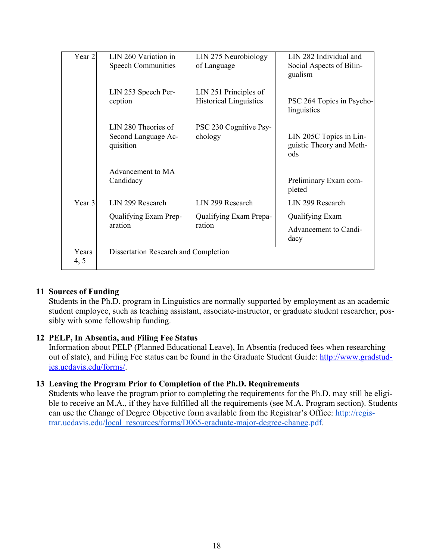| Year 2        | LIN 260 Variation in                                    | LIN 275 Neurobiology                                   | LIN 282 Individual and                                     |
|---------------|---------------------------------------------------------|--------------------------------------------------------|------------------------------------------------------------|
|               | <b>Speech Communities</b>                               | of Language                                            | Social Aspects of Bilin-<br>gualism                        |
|               | LIN 253 Speech Per-<br>ception                          | LIN 251 Principles of<br><b>Historical Linguistics</b> | PSC 264 Topics in Psycho-<br>linguistics                   |
|               | LIN 280 Theories of<br>Second Language Ac-<br>quisition | PSC 230 Cognitive Psy-<br>chology                      | LIN 205C Topics in Lin-<br>guistic Theory and Meth-<br>ods |
|               | Advancement to MA<br>Candidacy                          |                                                        | Preliminary Exam com-<br>pleted                            |
| Year 3        | LIN 299 Research                                        | LIN 299 Research                                       | LIN 299 Research                                           |
|               | Qualifying Exam Prep-                                   | Qualifying Exam Prepa-                                 | <b>Qualifying Exam</b>                                     |
|               | aration                                                 | ration                                                 | Advancement to Candi-<br>dacy                              |
| Years<br>4, 5 | Dissertation Research and Completion                    |                                                        |                                                            |

## **11 Sources of Funding**

Students in the Ph.D. program in Linguistics are normally supported by employment as an academic student employee, such as teaching assistant, associate-instructor, or graduate student researcher, possibly with some fellowship funding.

## **12 PELP, In Absentia, and Filing Fee Status**

Information about PELP (Planned Educational Leave), In Absentia (reduced fees when researching out of state), and Filing Fee status can be found in the Graduate Student Guide: http://www.gradstudies.ucdavis.edu/forms/.

#### **13 Leaving the Program Prior to Completion of the Ph.D. Requirements**

Students who leave the program prior to completing the requirements for the Ph.D. may still be eligible to receive an M.A., if they have fulfilled all the requirements (see M.A. Program section). Students can use the Change of Degree Objective form available from the Registrar's Office: http://registrar.ucdavis.edu/local\_resources/forms/D065-graduate-major-degree-change.pdf.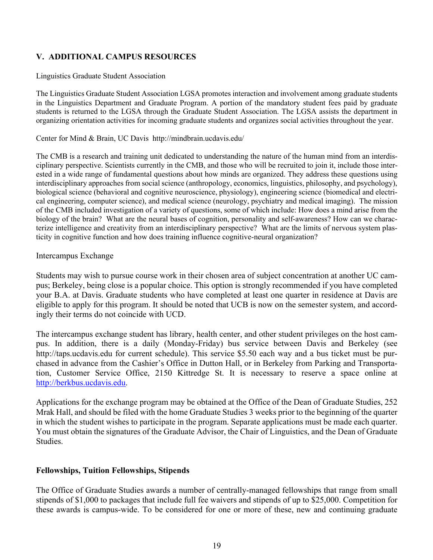## **V. ADDITIONAL CAMPUS RESOURCES**

#### Linguistics Graduate Student Association

The Linguistics Graduate Student Association LGSA promotes interaction and involvement among graduate students in the Linguistics Department and Graduate Program. A portion of the mandatory student fees paid by graduate students is returned to the LGSA through the Graduate Student Association. The LGSA assists the department in organizing orientation activities for incoming graduate students and organizes social activities throughout the year.

#### Center for Mind & Brain, UC Davis http://mindbrain.ucdavis.edu/

The CMB is a research and training unit dedicated to understanding the nature of the human mind from an interdisciplinary perspective. Scientists currently in the CMB, and those who will be recruited to join it, include those interested in a wide range of fundamental questions about how minds are organized. They address these questions using interdisciplinary approaches from social science (anthropology, economics, linguistics, philosophy, and psychology), biological science (behavioral and cognitive neuroscience, physiology), engineering science (biomedical and electrical engineering, computer science), and medical science (neurology, psychiatry and medical imaging). The mission of the CMB included investigation of a variety of questions, some of which include: How does a mind arise from the biology of the brain? What are the neural bases of cognition, personality and self-awareness? How can we characterize intelligence and creativity from an interdisciplinary perspective? What are the limits of nervous system plasticity in cognitive function and how does training influence cognitive-neural organization?

#### Intercampus Exchange

Students may wish to pursue course work in their chosen area of subject concentration at another UC campus; Berkeley, being close is a popular choice. This option is strongly recommended if you have completed your B.A. at Davis. Graduate students who have completed at least one quarter in residence at Davis are eligible to apply for this program. It should be noted that UCB is now on the semester system, and accordingly their terms do not coincide with UCD.

The intercampus exchange student has library, health center, and other student privileges on the host campus. In addition, there is a daily (Monday-Friday) bus service between Davis and Berkeley (see http://taps.ucdavis.edu for current schedule). This service \$5.50 each way and a bus ticket must be purchased in advance from the Cashier's Office in Dutton Hall, or in Berkeley from Parking and Transportation, Customer Service Office, 2150 Kittredge St. It is necessary to reserve a space online at http://berkbus.ucdavis.edu.

Applications for the exchange program may be obtained at the Office of the Dean of Graduate Studies, 252 Mrak Hall, and should be filed with the home Graduate Studies 3 weeks prior to the beginning of the quarter in which the student wishes to participate in the program. Separate applications must be made each quarter. You must obtain the signatures of the Graduate Advisor, the Chair of Linguistics, and the Dean of Graduate Studies.

#### **Fellowships, Tuition Fellowships, Stipends**

The Office of Graduate Studies awards a number of centrally-managed fellowships that range from small stipends of \$1,000 to packages that include full fee waivers and stipends of up to \$25,000. Competition for these awards is campus-wide. To be considered for one or more of these, new and continuing graduate